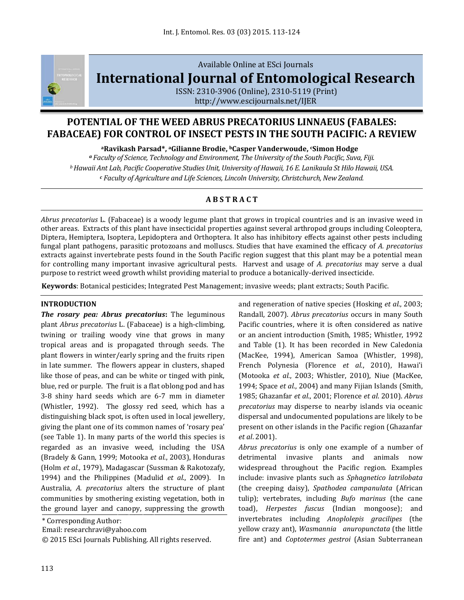

# Available Online at ESci Journals **[International Journal of Entomological Research](http://www.escijournals.net/IJER)**

ISSN: 2310-3906 (Online), 2310-5119 (Print) <http://www.escijournals.net/IJER>

## **POTENTIAL OF THE WEED ABRUS PRECATORIUS LINNAEUS (FABALES: FABACEAE) FOR CONTROL OF INSECT PESTS IN THE SOUTH PACIFIC: A REVIEW**

**<sup>a</sup>Ravikash Parsad\*, aGilianne Brodie, <sup>b</sup>Casper Vanderwoude, <sup>c</sup>Simon Hodge**

*<sup>a</sup> Faculty of Science, Technology and Environment, The University of the South Pacific, Suva, Fiji. <sup>b</sup>Hawaii Ant Lab, Pacific Cooperative Studies Unit, University of Hawaii, 16 E. Lanikaula St Hilo Hawaii, USA. <sup>c</sup> Faculty of Agriculture and Life Sciences, Lincoln University, Christchurch, New Zealand.*

## **A B S T R A C T**

*Abrus precatorius* L. (Fabaceae) is a woody legume plant that grows in tropical countries and is an invasive weed in other areas. Extracts of this plant have insecticidal properties against several arthropod groups including Coleoptera, Diptera, Hemiptera, Isoptera, Lepidoptera and Orthoptera. It also has inhibitory effects against other pests including fungal plant pathogens, parasitic protozoans and molluscs. Studies that have examined the efficacy of *A. precatorius*  extracts against invertebrate pests found in the South Pacific region suggest that this plant may be a potential mean for controlling many important invasive agricultural pests. Harvest and usage of *A. precatorius* may serve a dual purpose to restrict weed growth whilst providing material to produce a botanically-derived insecticide.

**Keywords**: Botanical pesticides; Integrated Pest Management; invasive weeds; plant extracts; South Pacific.

### **INTRODUCTION**

*The rosary pea: Abrus precatorius***:** The leguminous plant *Abrus precatorius* L. (Fabaceae) is a high-climbing, twining or trailing woody vine that grows in many tropical areas and is propagated through seeds. The plant flowers in winter/early spring and the fruits ripen in late summer. The flowers appear in clusters, shaped like those of peas, and can be white or tinged with pink, blue, red or purple. The fruit is a flat oblong pod and has 3-8 shiny hard seeds which are 6-7 mm in diameter (Whistler, 1992). The glossy red seed, which has a distinguishing black spot, is often used in local jewellery, giving the plant one of its common names of 'rosary pea' (see Table 1). In many parts of the world this species is regarded as an invasive [weed,](http://www.cbit.uq.edu.au/Portals/3/software/ewa/glossary.htm#weed) including the USA (Bradely & Gann, 1999; Motooka *et al.*, 2003), Honduras (Holm *et al.*, 1979), Madagascar (Sussman & Rakotozafy, 1994) and the Philippines (Madulid *et al.*, 2009). In Australia, *A. precatorius* alters the structure of plant communities by smothering existing vegetation, both in the ground layer and canopy, suppressing the growth

\* Corresponding Author:

Email: researchravi@yahoo.com

© 2015 ESci Journals Publishing. All rights reserved.

and regeneration of native [species](http://www.cbit.uq.edu.au/Portals/3/software/ewa/glossary.htm#species) (Hosking *et al.*, 2003; Randall, 2007). *Abrus precatorius* occurs in many South Pacific countries, where it is often considered as native or an ancient introduction (Smith, 1985; Whistler, 1992 and Table (1). It has been recorded in New Caledonia (MacKee, 1994), American Samoa (Whistler, 1998), French Polynesia (Florence *et al.*, 2010), Hawai'i (Motooka *et al.*, 2003; Whistler, 2010), Niue (MacKee, 1994; Space *et al.*, 2004) and many Fijian Islands (Smith, 1985; Ghazanfar *et al*., 2001; Florence *et al*. 2010). *Abrus precatorius* may disperse to nearby islands via oceanic dispersal and undocumented populations are likely to be present on other islands in the Pacific region (Ghazanfar *et al*. 2001).

*Abrus precatorius* is only one example of a number of detrimental invasive plants and animals now widespread throughout the Pacific region. Examples include: invasive plants such as *Sphagnetico latrilobata* (the creeping daisy), *Spathodea campanulata* (African tulip); vertebrates, including *Bufo marinus* (the cane toad), *Herpestes fuscus* (Indian mongoose); and invertebrates including *Anoplolepis gracilipes* (the yellow crazy ant), *Wasmannia anuropunctata* (the little fire ant) and *Coptotermes gestroi* (Asian Subterranean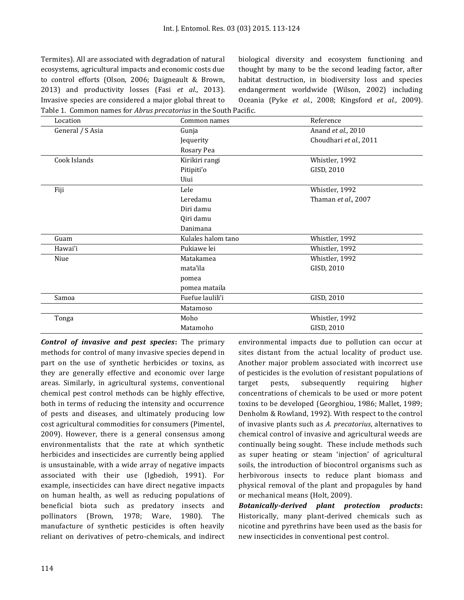Termites). All are associated with degradation of natural ecosystems, agricultural impacts and economic costs due to control efforts (Olson, 2006; Daigneault & Brown, 2013) and productivity losses (Fasi *et al*., 2013). Invasive species are considered a major global threat to Table 1. Common names for *Abrus precatorius* in the South Pacific.

biological diversity and ecosystem functioning and thought by many to be the second leading factor, after habitat destruction, in biodiversity loss and species endangerment worldwide (Wilson, 2002) including Oceania (Pyke *et al.*, 2008; Kingsford *et al.*, 2009).

| Location         | Common names       | Reference              |  |
|------------------|--------------------|------------------------|--|
| General / S Asia | Gunja              | Anand et al., 2010     |  |
|                  | Jequerity          | Choudhari et al., 2011 |  |
|                  | Rosary Pea         |                        |  |
| Cook Islands     | Kirikiri rangi     | Whistler, 1992         |  |
|                  | Pitipiti'o         | GISD, 2010             |  |
|                  | Uiui               |                        |  |
| Fiji             | Lele               | Whistler, 1992         |  |
|                  | Leredamu           | Thaman et al., 2007    |  |
|                  | Diri damu          |                        |  |
|                  | Qiri damu          |                        |  |
|                  | Danimana           |                        |  |
| Guam             | Kulales halom tano | Whistler, 1992         |  |
| Hawai'i          | Pukiawe lei        | Whistler, 1992         |  |
| Niue             | Matakamea          | Whistler, 1992         |  |
|                  | mata'ila           | GISD, 2010             |  |
|                  | pomea              |                        |  |
|                  | pomea mataila      |                        |  |
| Samoa            | Fuefue laulili'i   | GISD, 2010             |  |
|                  | Matamoso           |                        |  |
| Tonga            | Moho               | Whistler, 1992         |  |
|                  | Matamoho           | GISD, 2010             |  |

*Control of invasive and pest species***:** The primary methods for control of many invasive species depend in part on the use of synthetic herbicides or toxins, as they are generally effective and economic over large areas. Similarly, in agricultural systems, conventional chemical pest control methods can be highly effective, both in terms of reducing the intensity and occurrence of pests and diseases, and ultimately producing low cost agricultural commodities for consumers (Pimentel, 2009). However, there is a general consensus among environmentalists that the rate at which synthetic herbicides and insecticides are currently being applied is unsustainable, with a wide array of negative impacts associated with their use (Igbedioh, 1991). For example, insecticides can have direct negative impacts on human health, as well as reducing populations of beneficial biota such as predatory insects and pollinators (Brown, 1978; Ware, 1980). The manufacture of synthetic pesticides is often heavily reliant on derivatives of petro-chemicals, and indirect environmental impacts due to pollution can occur at sites distant from the actual locality of product use. Another major problem associated with incorrect use of pesticides is the evolution of resistant populations of target pests, subsequently requiring higher concentrations of chemicals to be used or more potent toxins to be developed (Georghiou, 1986; Mallet, 1989; Denholm & Rowland, 1992). With respect to the control of invasive plants such as *A. precatorius*, alternatives to chemical control of invasive and agricultural weeds are continually being sought. These include methods such as super heating or steam 'injection' of agricultural soils, the introduction of biocontrol organisms such as herbivorous insects to reduce plant biomass and physical removal of the plant and propagules by hand or mechanical means (Holt, 2009).

*Botanically-derived plant protection products***:** Historically, many plant-derived chemicals such as nicotine and pyrethrins have been used as the basis for new insecticides in conventional pest control.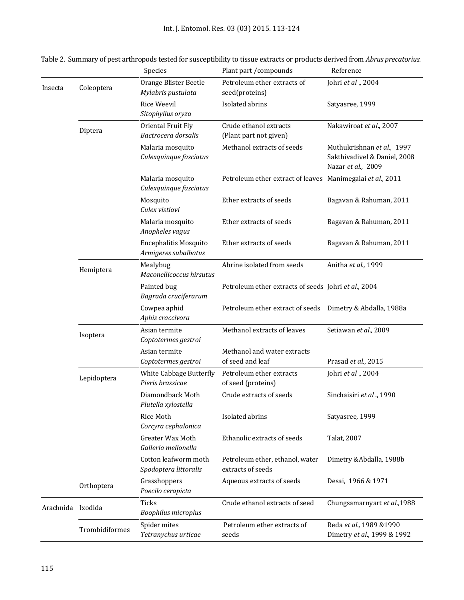Int. J. Entomol. Res. 03 (03) 2015. 113-124

|           |                | Species                                              | Plant part / compounds                                     | Reference                                                                        |  |
|-----------|----------------|------------------------------------------------------|------------------------------------------------------------|----------------------------------------------------------------------------------|--|
| Insecta   | Coleoptera     | Orange Blister Beetle                                | Petroleum ether extracts of                                | Johri et al., 2004                                                               |  |
|           |                | Mylabris pustulata                                   | seed(proteins)                                             |                                                                                  |  |
|           |                | Rice Weevil                                          | Isolated abrins                                            | Satyasree, 1999                                                                  |  |
|           |                | Sitophyllus oryza                                    |                                                            |                                                                                  |  |
|           | Diptera        | Oriental Fruit Fly                                   | Crude ethanol extracts                                     | Nakawiroat et al., 2007                                                          |  |
|           |                | Bactrocera dorsalis                                  | (Plant part not given)                                     |                                                                                  |  |
|           |                | Malaria mosquito<br>Culexquinque fasciatus           | Methanol extracts of seeds                                 | Muthukrishnan et al., 1997<br>Sakthivadivel & Daniel, 2008<br>Nazar et al., 2009 |  |
|           |                | Malaria mosquito<br>Culexquinque fasciatus           | Petroleum ether extract of leaves Manimegalai et al., 2011 |                                                                                  |  |
|           |                | Mosquito<br>Culex vistiavi                           | Ether extracts of seeds                                    | Bagavan & Rahuman, 2011                                                          |  |
|           |                | Malaria mosquito<br>Anopheles vagus                  | Ether extracts of seeds                                    | Bagavan & Rahuman, 2011                                                          |  |
|           |                | <b>Encephalitis Mosquito</b><br>Armigeres subalbatus | Ether extracts of seeds                                    | Bagavan & Rahuman, 2011                                                          |  |
|           | Hemiptera      | Mealybug<br>Maconellicoccus hirsutus                 | Abrine isolated from seeds                                 | Anitha et al., 1999                                                              |  |
|           |                | Painted bug<br>Bagrada cruciferarum                  | Petroleum ether extracts of seeds Johri et al., 2004       |                                                                                  |  |
|           |                | Cowpea aphid<br>Aphis craccivora                     | Petroleum ether extract of seeds Dimetry & Abdalla, 1988a  |                                                                                  |  |
|           | Isoptera       | Asian termite<br>Coptotermes gestroi                 | Methanol extracts of leaves                                | Setiawan et al., 2009                                                            |  |
|           |                | Asian termite<br>Coptotermes gestroi                 | Methanol and water extracts<br>of seed and leaf            | Prasad et al., 2015                                                              |  |
|           | Lepidoptera    | White Cabbage Butterfly<br>Pieris brassicae          | Petroleum ether extracts<br>of seed (proteins)             | Johri et al., 2004                                                               |  |
|           |                | Diamondback Moth<br>Plutella xylostella              | Crude extracts of seeds                                    | Sinchaisiri et al., 1990                                                         |  |
|           |                | Rice Moth<br>Corcyra cephalonica                     | Isolated abrins                                            | Satyasree, 1999                                                                  |  |
|           |                | Greater Wax Moth<br>Galleria mellonella              | Ethanolic extracts of seeds                                | Talat, 2007                                                                      |  |
|           |                | Cotton leafworm moth<br>Spodoptera littoralis        | Petroleum ether, ethanol, water<br>extracts of seeds       | Dimetry &Abdalla, 1988b                                                          |  |
|           | Orthoptera     | Grasshoppers<br>Poecilo cerapicta                    | Aqueous extracts of seeds                                  | Desai, 1966 & 1971                                                               |  |
| Arachnida | Ixodida        | Ticks<br>Boophilus microplus                         | Crude ethanol extracts of seed                             | Chungsamarnyart et al.,1988                                                      |  |
|           | Trombidiformes | Spider mites<br>Tetranychus urticae                  | Petroleum ether extracts of<br>seeds                       | Reda et al., 1989 &1990<br>Dimetry et al., 1999 & 1992                           |  |
|           |                |                                                      |                                                            |                                                                                  |  |

Table 2. Summary of pest arthropods tested for susceptibility to tissue extracts or products derived from *Abrus precatorius*.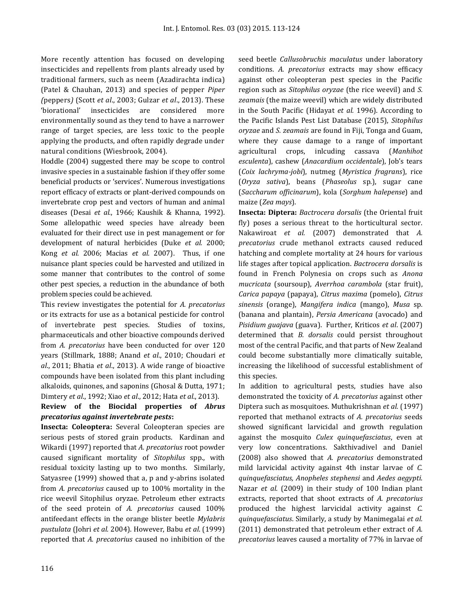More recently attention has focused on developing insecticides and repellents from plants already used by traditional farmers, such as neem (Azadirachta indica) (Patel & Chauhan, 2013) and species of pepper *Piper (*peppers*)* (Scott *et al*., 2003; Gulzar *et al*., 2013). These 'biorational' insecticides are considered more environmentally sound as they tend to have a narrower range of target species, are less toxic to the people applying the products, and often rapidly degrade under natural conditions (Wiesbrook, 2004).

Hoddle (2004) suggested there may be scope to control invasive species in a sustainable fashion if they offer some beneficial products or 'services'. Numerous investigations report efficacy of extracts or plant-derived compounds on invertebrate crop pest and vectors of human and animal diseases (Desai *et al.*, 1966; Kaushik & Khanna, 1992). Some allelopathic weed species have already been evaluated for their direct use in pest management or for development of natural herbicides (Duke *et al.* 2000; Kong *et al.* 2006; Macias *et al.* 2007). Thus, if one nuisance plant species could be harvested and utilized in some manner that contributes to the control of some other pest species, a reduction in the abundance of both problem species could be achieved.

This review investigates the potential for *A. precatorius* or its extracts for use as a botanical pesticide for control of invertebrate pest species. Studies of toxins, pharmaceuticals and other bioactive compounds derived from *A. precatorius* have been conducted for over 120 years (Stillmark, 1888; Anand *et al*., 2010; Choudari *et al*., 2011; Bhatia *et al*., 2013). A wide range of bioactive compounds have been isolated from this plant including alkaloids, quinones, and saponins (Ghosal & Dutta, 1971; Dimtery *et al*., 1992; Xiao *et al*., 2012; Hata *et al*., 2013).

## **Review of the Biocidal properties of** *Abrus precatorius against invertebrate pests***:**

**Insecta: Coleoptera:** Several Coleopteran species are serious pests of stored grain products. Kardinan and Wikardi (1997) reported that *A. precatorius* root powder caused significant mortality of *Sitophilus* spp., with residual toxicity lasting up to two months. Similarly, Satyasree (1999) showed that a, p and y-abrins isolated from *A. precatorius* caused up to 100% mortality in the rice weevil Sitophilus oryzae. Petroleum ether extracts of the seed protein of *A. precatorius* caused 100% antifeedant effects in the orange blister beetle *Mylabris pustulata* (Johri *et al.* 2004). However, Babu *et al*. (1999) reported that *A. precatorius* caused no inhibition of the

seed beetle *Callusobruchis maculatus* under laboratory conditions. *A. precatorius* extracts may show efficacy against other coleopteran pest species in the Pacific region such as *Sitophilus oryzae* (the rice weevil) and *S. zeamais* (the maize weevil) which are widely distributed in the South Pacific (Hidayat *et al.* 1996). According to the Pacific Islands Pest List Database (2015), *Sitophilus oryzae* and *S. zeamais* are found in Fiji, Tonga and Guam, where they cause damage to a range of important agricultural crops, inlcuding cassava (*Manhihot esculenta*), cashew (*Anacardium occidentale*), Job's tears (*Coix lachryma-jobi*), nutmeg (*Myristica fragrans*), rice (*Oryza sativa*), beans (*Phaseolus* sp*.*), sugar cane (*Saccharum officinarum*), kola (*Sorghum halepense*) and maize (*Zea mays*).

**Insecta: Diptera:** *Bactrocera dorsalis* (the Oriental fruit fly) poses a serious threat to the horticultural sector. Nakawiroat *et al.* (2007) demonstrated that *A. precatorius* crude methanol extracts caused reduced hatching and complete mortality at 24 hours for various life stages after topical application. *Bactrocera dorsalis* is found in French Polynesia on crops such as *Anona mucricata* (soursoup), *Averrhoa carambola* (star fruit), *Carica papaya* (papaya), *Citrus maxima* (pomelo), *Citrus sinensis* (orange), *Mangifera indica* (mango), *Musa* sp*.*  (banana and plantain), *Persia Americana* (avocado) and *Pisidium guajava* (guava). Further, Kriticos *et al*. (2007) determined that *B. dorsalis* could persist throughout most of the central Pacific, and that parts of New Zealand could become substantially more climatically suitable, increasing the likelihood of successful establishment of this species.

In addition to agricultural pests, studies have also demonstrated the toxicity of *A. precatorius* against other Diptera such as mosquitoes. Muthukrishnan *et al.* (1997) reported that methanol extracts of *A. precatorius* seeds showed significant larvicidal and growth regulation against the mosquito *Culex quinquefasciatus*, even at very low concentrations. Sakthivadivel and Daniel (2008) also showed that *A. precatorius* demonstrated mild larvicidal activity against 4th instar larvae of *C. quinquefasciatus, Anopheles stephensi* and *Aedes aegypti*. Nazar *et al.* (2009) in their study of 100 Indian plant extracts, reported that shoot extracts of *A. precatorius*  produced the highest larvicidal activity against *C. quinquefasciatus*. Similarly, a study by Manimegalai *et al.*  (2011) demonstrated that petroleum ether extract of *A. precatorius* leaves caused a mortality of 77% in larvae of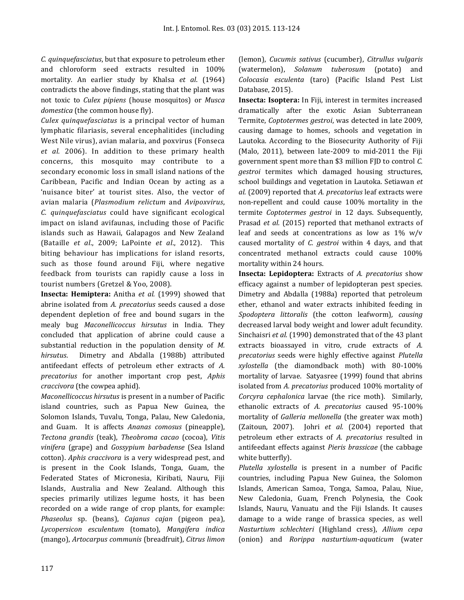*C. quinquefasciatus*, but that exposure to petroleum ether and chloroform seed extracts resulted in 100% mortality*.* An earlier study by Khalsa *et al*. (1964) contradicts the above findings, stating that the plant was not toxic to *Culex pipiens* (house mosquitos) or *Musca domestica* (the common house fly).

*Culex quinquefasciatus* is a principal vector of human lymphatic filariasis, several encephalitides (including West Nile virus), avian malaria, and poxvirus (Fonseca *et al.* 2006). In addition to these primary health concerns, this mosquito may contribute to a secondary economic loss in small island nations of the Caribbean, Pacific and Indian Ocean by acting as a 'nuisance biter' at tourist sites. Also, the vector of avian malaria (*Plasmodium relictum* and *Avipoxvirus*, *C. quinquefasciatus* could have significant ecological impact on island avifaunas, including those of Pacific islands such as Hawaii, Galapagos and New Zealand (Bataille *et al*., 2009; LaPointe *et al*., 2012). This biting behaviour has implications for island resorts, such as those found around Fiji, where negative feedback from tourists can rapidly cause a loss in tourist numbers (Gretzel & Yoo, 2008).

**Insecta: Hemiptera:** Anitha *et al.* (1999) showed that abrine isolated from *A. precatorius* seeds caused a dose dependent depletion of free and bound sugars in the mealy bug *Maconellicoccus hirsutus* in India. They concluded that application of abrine could cause a substantial reduction in the population density of *M. hirsutus*. Dimetry and Abdalla (1988b) attributed antifeedant effects of petroleum ether extracts of *A. precatorius* for another important crop pest, *Aphis craccivora* (the cowpea aphid).

*Maconellicoccus hirsutus* is present in a number of Pacific island countries, such as Papua New Guinea, the Solomon Islands, Tuvalu, Tonga, Palau, New Caledonia, and Guam. It is affects *Ananas comosus* (pineapple), *Tectona grandis* (teak), *Theobroma cacao* (cocoa), *Vitis vinifera* (grape) and *Gossypium barbadense* (Sea Island cotton). *Aphis craccivora* is a very widespread pest, and is present in the Cook Islands, Tonga, Guam, the Federated States of Micronesia, Kiribati, Nauru, Fiji Islands, Australia and New Zealand. Although this species primarily utilizes legume hosts, it has been recorded on a wide range of crop plants, for example: *Phaseolus* sp. (beans), *Cajanus cajan* (pigeon pea), *Lycopersicon esculentum* (tomato), *Mangifera indica* (mango), *Artocarpus communis* (breadfruit), *Citrus limon*

(lemon), *Cucumis sativus* (cucumber), *Citrullus vulgaris* (watermelon), *Solanum tuberosum* (potato) and *Colocasia esculenta* (taro) (Pacific Island Pest List Database, 2015).

**Insecta: Isoptera:** In Fiji, interest in termites increased dramatically after the exotic Asian Subterranean Termite, *Coptotermes gestroi*, was detected in late 2009, causing damage to homes, schools and vegetation in Lautoka. According to the Biosecurity Authority of Fiji (Malo, 2011), between late-2009 to mid-2011 the Fiji government spent more than \$3 million FJD to control *C. gestroi* termites which damaged housing structures, school buildings and vegetation in Lautoka. Setiawan *et al.* (2009) reported that *A. precatorius* leaf extracts were non-repellent and could cause 100% mortality in the termite *Coptotermes gestroi* in 12 days. Subsequently, Prasad *et al.* (2015) reported that methanol extracts of leaf and seeds at concentrations as low as  $1\%$  w/v caused mortality of *C. gestroi* within 4 days, and that concentrated methanol extracts could cause 100% mortality within 24 hours.

**Insecta: Lepidoptera:** Extracts of *A. precatorius* show efficacy against a number of lepidopteran pest species. Dimetry and Abdalla (1988a) reported that petroleum ether, ethanol and water extracts inhibited feeding in *Spodoptera littoralis* (the cotton leafworm)*, causing* decreased larval body weight and lower adult fecundity. Sinchaisri *et al.* [\(1990\)](#page-10-0) demonstrated that of the 43 plant extracts bioassayed in vitro, crude extracts of *A. precatorius* seeds were highly effective against *Plutella xylostella* (the diamondback moth) with 80-100% mortality of larvae. Satyasree (1999) found that abrins isolated from *A. precatorius* produced 100% mortality of *Corcyra cephalonica* larvae (the rice moth). Similarly, ethanolic extracts of *A. precatorius* caused 95-100% mortality of *Galleria mellonella* (the greater wax moth) (Zaitoun, 2007). Johri *et al.* (2004) reported that petroleum ether extracts of *A. precatorius* resulted in antifeedant effects against *Pieris brassicae* (the cabbage white butterfly).

*Plutella xylostella* is present in a number of Pacific countries, including Papua New Guinea, the Solomon Islands, American Samoa, Tonga, Samoa, Palau, Niue, New Caledonia, Guam, French Polynesia, the Cook Islands, Nauru, Vanuatu and the Fiji Islands. It causes damage to a wide range of brassica species, as well *Nasturtium schlechteri* (Highland cress), *Allium cepa* (onion) and *Rorippa nasturtium-aquaticum* (water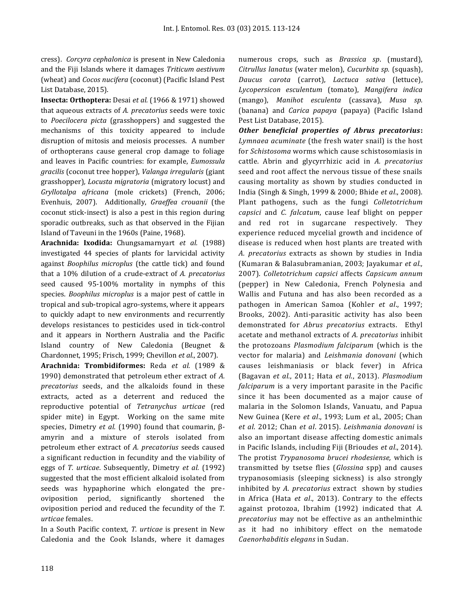cress). *Corcyra cephalonica* is present in New Caledonia and the Fiji Islands where it damages *Triticum aestivum* (wheat) and *Cocos nucifera* (coconut) (Pacific Island Pest List Database, 2015).

**Insecta: Orthoptera:** Desai *et al.* (1966 & 1971) showed that aqueous extracts of *A. precatorius* seeds were toxic to *Poecilocera picta* (grasshoppers) and suggested the mechanisms of this toxicity appeared to include disruption of mitosis and meiosis processes. A number of orthopterans cause general crop damage to foliage and leaves in Pacific countries: for example, *Eumossula gracilis* (coconut tree hopper), *Valanga irregularis* (giant grasshopper)*, Locusta migratoria* (migratory locust) and *Gryllotalpa africana* (mole crickets) (French, 2006; Evenhuis, 2007). Additionally, *Graeffea crouanii* (the coconut stick-insect) is also a pest in this region during sporadic outbreaks, such as that observed in the Fijian Island of Taveuni in the 1960s (Paine, 1968).

**Arachnida: Ixodida:** Chungsamarnyart *et al.* (1988) investigated 44 species of plants for larvicidal activity against *Boophilus microplus* (the cattle tick) and found that a 10% dilution of a crude-extract of *A. precatorius* seed caused 95-100% mortality in nymphs of this species. *Boophilus microplus* is a major pest of cattle in tropical and sub-tropical agro-systems, where it appears to quickly adapt to new environments and recurrently develops resistances to pesticides used in tick-control and it appears in Northern Australia and the Pacific Island country of New Caledonia (Beugnet & Chardonnet, 1995; Frisch, 1999; Chevillon *et al*., 2007).

**Arachnida: Trombidiformes:** Reda *et al.* (1989 & 1990) demonstrated that petroleum ether extract of *A. precatorius* seeds, and the alkaloids found in these extracts, acted as a deterrent and reduced the reproductive potential of *Tetranychus urticae* (red spider mite) in Egypt. Working on the same mite species, Dimetry *et al.* (1990) found that coumarin, βamyrin and a mixture of sterols isolated from petroleum ether extract of *A. precatorius* seeds caused a significant reduction in fecundity and the viability of eggs of *T. urticae*. Subsequently, Dimetry *et al.* (1992) suggested that the most efficient alkaloid isolated from seeds was hypaphorine which elongated the preoviposition period, significantly shortened the oviposition period and reduced the fecundity of the *T. urticae* females.

In a South Pacific context, *T. urticae* is present in New Caledonia and the Cook Islands, where it damages numerous crops, such as *Brassica sp*. (mustard), *Citrullus lanatus* (water melon), *Cucurbita sp.* (squash), *Daucus carota* (carrot), *Lactuca sativa* (lettuce), *Lycopersicon esculentum* (tomato), *Mangifera indica*  (mango), *Manihot esculenta* (cassava), *Musa sp.* (banana) and *Carica papaya* (papaya) (Pacific Island Pest List Database, 2015).

*Other beneficial properties of Abrus precatorius***:**  *Lymnaea acuminate* (the fresh water snail) is the host for *Schistosoma* worms which cause schistosomiasis in cattle. Abrin and glycyrrhizic acid in *A. precatorius*  seed and root affect the nervous tissue of these snails causing mortality as shown by studies conducted in India (Singh & Singh, 1999 & 2000; Bhide *et al*., 2008). Plant pathogens, such as the fungi *Colletotrichum capsici* and *C. falcatum*, cause leaf blight on pepper and red rot in sugarcane respectively. They experience reduced mycelial growth and incidence of disease is reduced when host plants are treated with *A. precatorius* extracts as shown by studies in India (Kumaran & Balasubramanian, 2003; Jayakumar *et al.,*  2007). *Colletotrichum capsici* affects *Capsicum annum* (pepper) in New Caledonia, French Polynesia and Wallis and Futuna and has also been recorded as a pathogen in American Samoa (Kohler *et al*., 1997; Brooks, 2002). Anti-parasitic activity has also been demonstrated for *Abrus precatorius* extracts. Ethyl acetate and methanol extracts of *A. precatorius* inhibit the protozoans *Plasmodium falciparum* (which is the vector for malaria) and *Leishmania donovani* (which causes leishmaniasis or black fever) in Africa (Bagavan *et al.*, 2011; Hata *et al*., 2013). *Plasmodium falciparum* is a very important parasite in the Pacific since it has been documented as a major cause of malaria in the Solomon Islands, Vanuatu, and Papua New Guinea (Kere *et al*., 1993; Lum *et* al., 2005; Chan *et al*. 2012; Chan *et al*. 2015). *Leishmania donovani* is also an important disease affecting domestic animals in Pacific Islands, including Fiji (Brioudes *et al*., 2014). The protist *Trypanosoma brucei rhodesiense,* which is transmitted by tsetse flies (*Glossina* spp) and causes trypanosomiasis (sleeping sickness) is also strongly inhibited by *A. precatorius* extract shown by studies in Africa (Hata *et al*., 2013). Contrary to the effects against protozoa, Ibrahim (1992) indicated that *A. precatorius* may not be effective as an anthelminthic as it had no inhibitory effect on the nematode *Caenorhabditis elegans* in Sudan.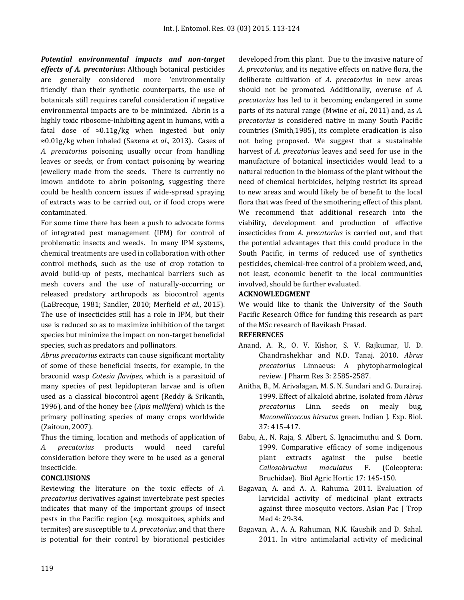*Potential environmental impacts and non-target effects of A. precatorius***:** Although botanical pesticides are generally considered more 'environmentally friendly' than their synthetic counterparts, the use of botanicals still requires careful consideration if negative environmental impacts are to be minimized. Abrin is a highly toxic ribosome-inhibiting agent in humans, with a fatal dose of ≈0.11g/kg when ingested but only ≈0.01g/kg when inhaled (Saxena *et al*., 2013). Cases of *A. precatorius* poisoning usually occur from handling leaves or seeds, or from contact poisoning by wearing jewellery made from the seeds. There is currently no known antidote to abrin poisoning, suggesting there could be health concern issues if wide-spread spraying of extracts was to be carried out, or if food crops were contaminated.

For some time there has been a push to advocate forms of integrated pest management (IPM) for control of problematic insects and weeds. In many IPM systems, chemical treatments are used in collaboration with other control methods, such as the use of crop rotation to avoid build-up of pests, mechanical barriers such as mesh covers and the use of naturally-occurring or released predatory arthropods as biocontrol agents (LaBrecque, 1981; Sandler, 2010; Merfield *et al*., 2015). The use of insecticides still has a role in IPM, but their use is reduced so as to maximize inhibition of the target species but minimize the impact on non-target beneficial species, such as predators and pollinators.

*Abrus precatorius* extracts can cause significant mortality of some of these beneficial insects, for example, in the braconid wasp *Cotesia flavipes*, which is a parasitoid of many species of pest lepidopteran larvae and is often used as a classical biocontrol agent (Reddy & Srikanth, 1996), and of the honey bee (*Apis mellifera*) which is the primary pollinating species of many crops worldwide (Zaitoun, 2007).

Thus the timing, location and methods of application of *A. precatorius* products would need careful consideration before they were to be used as a general insecticide.

## **CONCLUSIONS**

Reviewing the literature on the toxic effects of *A. precatorius* derivatives against invertebrate pest species indicates that many of the important groups of insect pests in the Pacific region (*e.g.* mosquitoes, aphids and termites) are susceptible to *A. precatorius*, and that there is potential for their control by biorational pesticides

developed from this plant. Due to the invasive nature of *A. precatorius*, and its negative effects on native flora, the deliberate cultivation of *A. precatorius* in new areas should not be promoted. Additionally, overuse of *A. precatorius* has led to it becoming endangered in some parts of its natural range (Mwine *et al*., 2011) and, as *A. precatorius* is considered native in many South Pacific countries (Smith,1985), its complete eradication is also not being proposed. We suggest that a sustainable harvest of *A. precatorius* leaves and seed for use in the manufacture of botanical insecticides would lead to a natural reduction in the biomass of the plant without the need of chemical herbicides, helping restrict its spread to new areas and would likely be of benefit to the local flora that was freed of the smothering effect of this plant. We recommend that additional research into the viability, development and production of effective insecticides from *A. precatorius* is carried out, and that the potential advantages that this could produce in the South Pacific, in terms of reduced use of synthetics pesticides, chemical-free control of a problem weed, and, not least, economic benefit to the local communities involved, should be further evaluated.

### **ACKNOWLEDGMENT**

We would like to thank the University of the South Pacific Research Office for funding this research as part of the MSc research of Ravikash Prasad.

### **REFERENCES**

- Anand, A. R., O. V. Kishor, S. V. Rajkumar, U. D. Chandrashekhar and N.D. Tanaj. 2010. *Abrus precatorius* Linnaeus: A phytopharmological review. J Pharm Res 3: 2585-2587.
- Anitha, B., M. Arivalagan, M. S. N. Sundari and G. Durairaj. 1999. Effect of alkaloid abrine, isolated from *Abrus precatorius* Linn. seeds on mealy bug, *Maconellicoccus hirsutus* green. Indian J. Exp. Biol. 37: 415-417.
- Babu, A., N. Raja, S. Albert, S. Ignacimuthu and S. Dorn. 1999. Comparative efficacy of some indigenous plant extracts against the pulse beetle *Callosobruchus maculatus* F. (Coleoptera: Bruchidae). Biol Agric Hortic 17: 145-150.
- Bagavan, A. and A. A. Rahuma. 2011. Evaluation of larvicidal activity of medicinal plant extracts against three mosquito vectors. Asian Pac J Trop Med 4: 29-34.
- Bagavan, A., A. A. Rahuman, N.K. Kaushik and D. Sahal. 2011. In vitro antimalarial activity of medicinal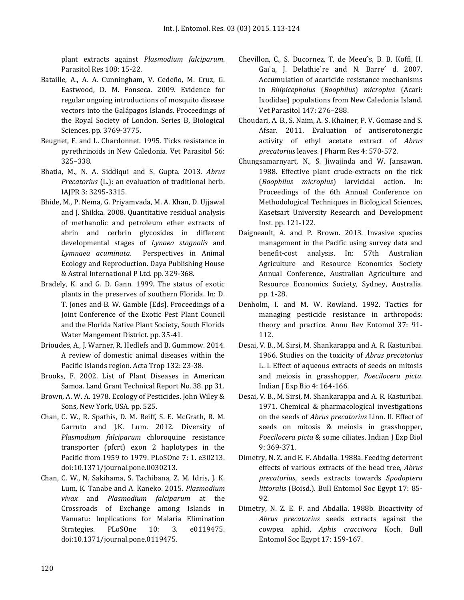plant extracts against *Plasmodium falciparum*. Parasitol Res 108: 15-22.

- Bataille, A., A. A. Cunningham, V. Cedeño, M. Cruz, G. Eastwood, D. M. Fonseca. 2009. Evidence for regular ongoing introductions of mosquito disease vectors into the Galápagos Islands. Proceedings of the Royal Society of London. Series B, Biological Sciences. pp. 3769-3775.
- Beugnet, F. and L. Chardonnet. 1995. Ticks resistance in pyrethrinoids in New Caledonia. Vet Parasitol 56: 325–338.
- Bhatia, M., N. A. Siddiqui and S. Gupta. 2013. *Abrus Precatorius* (L.): an evaluation of traditional herb. IAJPR 3: 3295-3315.
- Bhide, M., P. Nema, G. Priyamvada, M. A. Khan, D. Ujjawal and J. Shikka. 2008. Quantitative residual analysis of methanolic and petroleum ether extracts of abrin and cerbrin glycosides in different developmental stages of *Lynaea stagnalis* and *Lymnaea acuminata*. Perspectives in Animal Ecology and Reproduction. Daya Publishing House & Astral International P Ltd. pp. 329-368.
- Bradely, K. and G. D. Gann. 1999. The status of exotic plants in the preserves of southern Florida. In: D. T. Jones and B. W. Gamble [Eds]. Proceedings of a Joint Conference of the Exotic Pest Plant Council and the Florida Native Plant Society, South Florids Water Mangement District. pp. 35-41.
- [Brioudes, A.](http://www.ncbi.nlm.nih.gov/pubmed/?term=Brioudes%20A%5BAuthor%5D&cauthor=true&cauthor_uid=24388793), J. [Warner, R](http://www.ncbi.nlm.nih.gov/pubmed/?term=Warner%20J%5BAuthor%5D&cauthor=true&cauthor_uid=24388793). [Hedlefs a](http://www.ncbi.nlm.nih.gov/pubmed/?term=Hedlefs%20R%5BAuthor%5D&cauthor=true&cauthor_uid=24388793)nd B[. Gummow.](http://www.ncbi.nlm.nih.gov/pubmed/?term=Gummow%20B%5BAuthor%5D&cauthor=true&cauthor_uid=24388793) 2014. A review of domestic animal diseases within the Pacific Islands region. Acta Trop 132: 23-38.
- Brooks, F. 2002. List of Plant Diseases in American Samoa. Land Grant Technical Report No. 38. pp 31.
- Brown, A. W. A. 1978. Ecology of Pesticides. John Wiley & Sons, New York, USA. pp. 525.
- [Chan, C. W.,](http://www.ncbi.nlm.nih.gov/pubmed/?term=Chan%20CW%5BAuthor%5D&cauthor=true&cauthor_uid=22272308) R. [Spathis,](http://www.ncbi.nlm.nih.gov/pubmed/?term=Spathis%20R%5BAuthor%5D&cauthor=true&cauthor_uid=22272308) D. M. [Reiff, S](http://www.ncbi.nlm.nih.gov/pubmed/?term=Reiff%20DM%5BAuthor%5D&cauthor=true&cauthor_uid=22272308). E. [McGrath, R](http://www.ncbi.nlm.nih.gov/pubmed/?term=McGrath%20SE%5BAuthor%5D&cauthor=true&cauthor_uid=22272308). M. [Garruto a](http://www.ncbi.nlm.nih.gov/pubmed/?term=Garruto%20RM%5BAuthor%5D&cauthor=true&cauthor_uid=22272308)nd J.K. [Lum.](http://www.ncbi.nlm.nih.gov/pubmed/?term=Lum%20JK%5BAuthor%5D&cauthor=true&cauthor_uid=22272308) 2012. Diversity of *Plasmodium falciparum* chloroquine resistance transporter (pfcrt) exon 2 haplotypes in the Pacific from 1959 to 1979. PLoSOne 7: 1. e30213. doi:10.1371/journal.pone.0030213.
- Chan, C. W., N. Sakihama, S. Tachibana, Z. M. Idris, J. K. Lum, K. Tanabe and A. Kaneko. 2015. *Plasmodium vivax* and *Plasmodium falciparum* at the Crossroads of Exchange among Islands in Vanuatu: Implications for Malaria Elimination Strategies. PLoSOne 10: 3. e0119475. doi:10.1371/journal.pone.0119475.
- Chevillon, C., S. Ducornez, T. de Meeuˆs, B. B. Koffi, H. Gaı¨a, J. Delathie`re and N. Barre´ d. 2007. Accumulation of acaricide resistance mechanisms in *Rhipicephalus* (*Boophilus*) *microplus* (Acari: Ixodidae) populations from New Caledonia Island. Vet Parasitol 147: 276–288.
- Choudari, A. B., S. Naim, A. S. Khainer, P. V. Gomase and S. Afsar. 2011. Evaluation of antiserotonergic activity of ethyl acetate extract of *Abrus precatorius* leaves. J Pharm Res 4: 570-572.
- Chungsamarnyart, N., S. Jiwajinda and W. Jansawan. 1988. Effective plant crude-extracts on the tick (*Boophilus microplus*) larvicidal action. In: Proceedings of the 6th Annual Conference on Methodological Techniques in Biological Sciences, Kasetsart University Research and Development Inst. pp. 121-122.
- Daigneault, A. and P. Brown. 2013. Invasive species management in the Pacific using survey data and benefit-cost analysis. In: 57th Australian Agriculture and Resource Economics Society Annual Conference, Australian Agriculture and Resource Economics Society, Sydney, Australia. pp. 1-28.
- Denholm, I. and M. W. Rowland. 1992. Tactics for managing pesticide resistance in arthropods: theory and practice. Annu Rev Entomol 37: 91- 112.
- Desai, V. B., M. Sirsi, M. Shankarappa and A. R. Kasturibai. 1966. Studies on the toxicity of *Abrus precatorius* L. I. Effect of aqueous extracts of seeds on mitosis and meiosis in grasshopper, *Poecilocera picta*. Indian J Exp Bio 4: 164-166.
- Desai, V. B., M. Sirsi, M. Shankarappa and A. R. Kasturibai. 1971. Chemical & pharmacological investigations on the seeds of *Abrus precatorius* Linn. II. Effect of seeds on mitosis & meiosis in grasshopper, *Poecilocera picta* & some ciliates. Indian J Exp Biol 9: 369-371.
- Dimetry, N. Z. and E. F. Abdalla. 1988a. Feeding deterrent effects of various extracts of the bead tree, *Abrus precatorius*, seeds extracts towards *Spodoptera littoralis* (Boisd.). Bull Entomol Soc Egypt 17: 85- 92.
- Dimetry, N. Z. E. F. and Abdalla. 1988b. Bioactivity of *Abrus precatorius* seeds extracts against the cowpea aphid, *Aphis craccivora* Koch. Bull Entomol Soc Egypt 17: 159-167.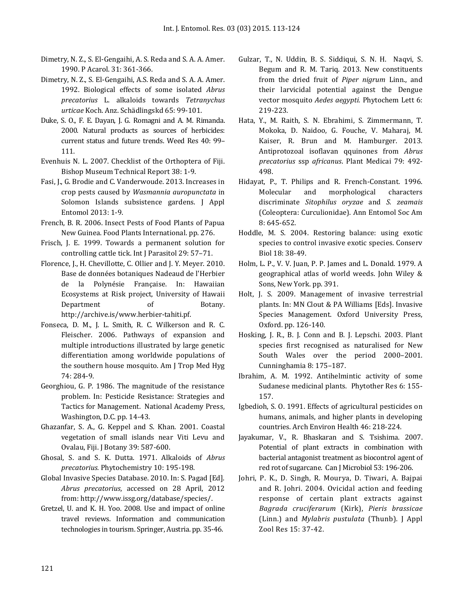- Dimetry, N. Z., S. El-Gengaihi, A. S. Reda and S. A. A. Amer. 1990. P Acarol. 31: 361-366.
- Dimetry, N. Z., S. El-Gengaihi, A.S. Reda and S. A. A. Amer. 1992. Biological effects of some isolated *Abrus precatorius* L. alkaloids towards *Tetranychus urticae* Koch. Anz. Schädlingskd 65: 99-101.
- Duke, S. O., F. E. Dayan, J. G. Romagni and A. M. Rimanda. 2000. Natural products as sources of herbicides: current status and future trends. Weed Res 40: 99– 111.
- Evenhuis N. L. 2007. Checklist of the Orthoptera of Fiji. Bishop Museum Technical Report 38: 1-9.
- Fasi, J., G. Brodie and C. Vanderwoude. 2013. Increases in crop pests caused by *Wasmannia auropunctata* in Solomon Islands subsistence gardens. J Appl Entomol 2013: 1-9.
- French, B. R. 2006. Insect Pests of Food Plants of Papua New Guinea. Food Plants International. pp. 276.
- Frisch, J. E. 1999. Towards a permanent solution for controlling cattle tick. Int J Parasitol 29: 57–71.
- Florence, J., H. Chevillotte, C. Ollier and J. Y. Meyer. 2010. Base de données botaniques Nadeaud de l'Herbier de la Polynésie Française. In: Hawaiian Ecosystems at Risk project, University of Hawaii Department of Botany. [http://archive.is/www.herbier-tahiti.pf.](http://archive.is/www.herbier-tahiti.pf)
- Fonseca, D. M., J. L. Smith, R. C. Wilkerson and R. C. Fleischer. 2006. Pathways of expansion and multiple introductions illustrated by large genetic differentiation among worldwide populations of the southern house mosquito. Am J Trop Med Hyg 74: 284-9.
- Georghiou, G. P. 1986. The magnitude of the resistance problem. In: Pesticide Resistance: Strategies and Tactics for Management. National Academy Press, Washington, D.C. pp. 14-43.
- Ghazanfar, S. A., G. Keppel and S. Khan. 2001. Coastal vegetation of small islands near Viti Levu and Ovalau, Fiji. J Botany 39: 587-600.
- Ghosal, S. and S. K. Dutta. 1971. Alkaloids of *Abrus precatorius.* Phytochemistry 10: 195-198.
- Global Invasive Species Database. 2010. In: S. Pagad [Ed]. *Abrus precatorius*, accessed on 28 April, 2012 from[: http://www.issg.org/database/species/.](http://www.issg.org/database/species/)
- Gretzel, U. and K. H. Yoo. 2008. Use and impact of online travel reviews. Information and communication technologies in tourism. Springer, Austria. pp. 35-46.
- [Gulzar, T.,](http://apps.webofknowledge.com/OneClickSearch.do?product=WOS&search_mode=OneClickSearch&excludeEventConfig=ExcludeIfFromFullRecPage&colName=WOS&SID=U1qFPDDzUtrKoYMzeCC&field=AU&value=Gulzar,%20T) N. [Uddin,](http://apps.webofknowledge.com/OneClickSearch.do?product=WOS&search_mode=OneClickSearch&excludeEventConfig=ExcludeIfFromFullRecPage&colName=WOS&SID=U1qFPDDzUtrKoYMzeCC&field=AU&value=Uddin,%20N) B. S. Siddiqui, S. N. H. Naqvi, S. Begum and R. M. Tariq. 2013. New constituents from the dried fruit of *Piper nigrum* Linn., and their larvicidal potential against the Dengue vector mosquito *Aedes aegypti.* Phytochem Lett 6: 219-223.
- Hata, Y., M. Raith, S. N. Ebrahimi, S. Zimmermann, T. Mokoka, D. Naidoo, G. Fouche, V. Maharaj, M. Kaiser, R. Brun and M. Hamburger. 2013. Antiprotozoal isoflavan qquinones from *Abrus precatorius* ssp *africanus*. Plant Medicai 79: 492- 498.
- Hidayat, P., T. Philips and R. French-Constant. 1996. Molecular and morphological characters discriminate *Sitophilus oryzae* and *S. zeamais* (Coleoptera: Curculionidae). Ann Entomol Soc Am 8: 645-652.
- Hoddle, M. S. 2004. Restoring balance: using exotic species to control invasive exotic species. Conserv Biol 18: 38-49.
- Holm, L. P., V. V. Juan, P. P. James and L. Donald. 1979. A geographical atlas of world weeds. John Wiley & Sons, New York. pp. 391.
- Holt, J. S. 2009. Management of invasive terrestrial plants. In: MN Clout & PA Williams [Eds]. Invasive Species Management. Oxford University Press, Oxford. pp. 126-140.
- Hosking, J. R., B. J. Conn and B. J. Lepschi. 2003. Plant species first recognised as naturalised for New South Wales over the period 2000–2001. Cunninghamia 8: 175–187.
- Ibrahim, A. M. 1992. Antihelmintic activity of some Sudanese medicinal plants. Phytother Res 6: 155- 157.
- Igbedioh, S. O. 1991. Effects of agricultural pesticides on humans, animals, and higher plants in developing countries. Arch Environ Health 46: 218-224.
- Jayakumar, V., R. Bhaskaran and S. Tsishima. 2007. Potential of plant extracts in combination with bacterial antagonist treatment as biocontrol agent of red rot of sugarcane. Can J Microbiol 53: 196-206.
- Johri, P. K., D. Singh, R. Mourya, D. Tiwari, A. Bajpai and R. Johri. 2004. Ovicidal action and feeding response of certain plant extracts against *Bagrada cruciferarum* (Kirk), *Pieris brassicae* (Linn.) and *Mylabris pustulata* (Thunb). J Appl Zool Res 15: 37-42.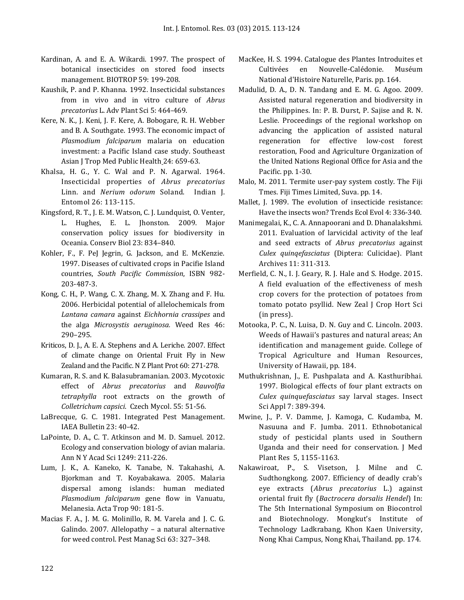- Kardinan, A. and E. A. Wikardi. 1997. The prospect of botanical insecticides on stored food insects management. BIOTROP 59: 199-208.
- Kaushik, P. and P. Khanna. 1992. Insecticidal substances from in vivo and in vitro culture of *Abrus precatorius* L. Adv Plant Sci 5: 464-469.
- [Kere, N. K.,](http://www.ncbi.nlm.nih.gov/pubmed/?term=Kere%20NK%5BAuthor%5D&cauthor=true&cauthor_uid=7939936) J. Keni, J. F. Kere, A. Bobogare, R. H. Webber and B. A. [Southgate.](http://www.ncbi.nlm.nih.gov/pubmed/?term=Southgate%20BA%5BAuthor%5D&cauthor=true&cauthor_uid=7939936) 1993. The economic impact of *Plasmodium falciparum* malaria on education investment: a Pacific Island case study. [Southeast](http://www.ncbi.nlm.nih.gov/pubmed/7939936)  [Asian J Trop Med Public Health](http://www.ncbi.nlm.nih.gov/pubmed/7939936) 24: 659-63.
- Khalsa, H. G., Y. C. Wal and P. N. Agarwal. 1964. Insecticidal properties of *Abrus precatorius* Linn. and *Nerium odorum* Soland. Indian J. Entomol 26: 113-115.
- Kingsford, R. T., J. E. M. Watson, C. J. Lundquist, O. Venter, L. Hughes, E. L. Jhonston. 2009. Major conservation policy issues for biodiversity in Oceania. Conserv Biol 23: 834–840.
- Kohler, F., F. PeJ Jegrin, G. Jackson, and E. McKenzie. 1997. Diseases of cultivated crops in Pacifie Island countries, *South Pacific Commission*, ISBN 982- 203-487-3.
- Kong, C. H., P. Wang, C. X. Zhang, M. X. Zhang and F. Hu. 2006. Herbicidal potential of allelochemicals from *Lantana camara* against *Eichhornia crassipes* and the alga *Microsystis aeruginosa.* Weed Res 46: 290–295.
- Kriticos, D. J., A. E. A. Stephens and A. Leriche. 2007. Effect of climate change on Oriental Fruit Fly in New Zealand and the Pacific. N Z Plant Prot 60: 271-278.
- Kumaran, R. S. and K. Balasubramanian. 2003. Mycotoxic effect of *Abrus precatorius* and *Rauvolfia tetraphylla* root extracts on the growth of *Colletrichum capsici*. Czech Mycol. 55: 51-56.
- LaBrecque, G. C. 1981. Integrated Pest Management. IAEA Bulletin 23: 40-42.
- LaPointe, D. A., C. T. Atkinson and M. D. Samuel. 2012. Ecology and conservation biology of avian malaria. Ann N Y Acad Sci 1249: 211-226.
- Lum, J. K., A. Kaneko, K. Tanabe, N. Takahashi, A. Bjorkman and T. Koyabakawa. 2005. Malaria dispersal among islands: human mediated *Plasmodium falciparum* gene flow in Vanuatu, Melanesia. Acta Trop 90: 181-5.
- Macias F. A., J. M. G. Molinillo, R. M. Varela and J. C. G. Galindo. 2007. Allelopathy – a natural alternative for weed control. Pest Manag Sci 63: 327–348.
- MacKee, H. S. 1994. Catalogue des Plantes Introduites et Cultivées en Nouvelle-Calédonie. Muséum National d'Histoire Naturelle, Paris. pp. 164.
- Madulid, D. A., D. N. Tandang and E. M. G. Agoo. 2009. Assisted natural regeneration and biodiversity in the Philippines. In: P. B. Durst, P. Sajise and R. N. Leslie. Proceedings of the regional workshop on advancing the application of assisted natural regeneration for effective low-cost forest restoration, Food and Agriculture Organization of the United Nations Regional Office for Asia and the Pacific. pp. 1-30.
- Malo, M. 2011. Termite user-pay system costly. The Fiji Tmes. Fiji Times Limited, Suva. pp. 14.
- Mallet, J. 1989. The evolution of insecticide resistance: Have the insects won? Trends Ecol Evol 4: 336-340.
- Manimegalai, K., C. A. Annapoorani and D. Dhanalakshmi. 2011. Evaluation of larvicidal activity of the leaf and seed extracts of *Abrus precatorius* against *Culex quinqefasciatus* (Diptera: Culicidae). Plant Archives 11: 311-313.
- Merfield, C. N., I. J. Geary, R. J. Hale and S. Hodge. 2015. A field evaluation of the effectiveness of mesh crop covers for the protection of potatoes from tomato potato psyllid. New Zeal J Crop Hort Sci (in press).
- Motooka, P. C., N. Luisa, D. N. Guy and C. Lincoln. 2003. Weeds of Hawaii's pastures and natural areas; An identification and management guide. College of Tropical Agriculture and Human Resources, University of Hawaii, pp. 184.
- Muthukrishnan, J., E. Pushpalata and A. Kasthuribhai. 1997. Biological effects of four plant extracts on *Culex quinquefasciatus* say larval stages. Insect Sci Appl 7: 389-394.
- Mwine, J., P. V. Damme, J. Kamoga, C. Kudamba, M. Nasuuna and F. Jumba. 2011. Ethnobotanical study of pesticidal plants used in Southern Uganda and their need for conservation. J Med Plant Res 5, 1155-1163.
- Nakawiroat, P., S. Visetson, J. Milne and C. Sudthongkong. 2007. Efficiency of deadly crab's eye extracts (*Abrus precatorius* L.) against oriental fruit fly (*Bactrocera dorsalis Hendel*) In: The 5th International Symposium on Biocontrol and Biotechnology. Mongkut's Institute of Technology Ladkrabang, Khon Kaen University, Nong Khai Campus, Nong Khai, Thailand. pp. 174.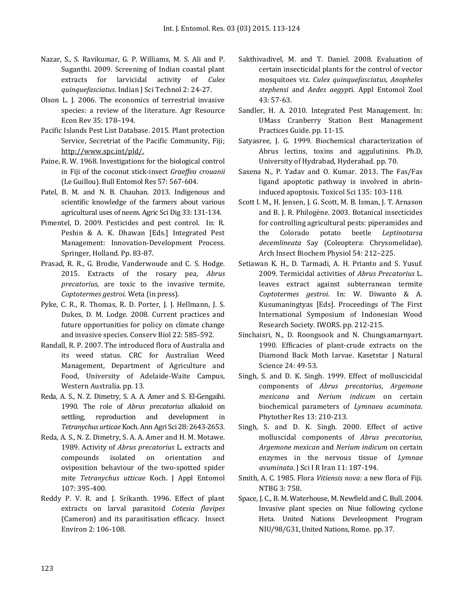- Nazar, S., S. Ravikumar, G. P. Williams, M. S. Ali and P. Suganthi. 2009. Screening of Indian coastal plant extracts for larvicidal activity of *Culex quinquefasciatus*. Indian J Sci Technol 2: 24-27.
- Olson L. J. 2006. The economics of terrestrial invasive species: a review of the literature. Agr Resource Econ Rev 35: 178–194.
- Pacific Islands Pest List Database. 2015. Plant protection Service, Secretriat of the Pacific Community, Fiji; [http://www.spc.int/pld/.](http://www.spc.int/pld/)
- Paine, R. W. 1968. Investigations for the biological control in Fiji of the coconut stick-insect *Graeffea crouanii* (Le Guillou). Bull Entomol Res 57: 567-604.
- Patel, B. M. and N. B. Chauhan. 2013. Indigenous and scientific knowledge of the farmers about various agricultural uses of neem. Agric Sci Dig 33: 131-134.
- Pimentel, D. 2009. Pesticides and pest control. In: R. Peshin & A. K. Dhawan [Eds.] Integrated Pest Management: Innovation-Development Process*.*  Springer, Holland. Pp. 83-87.
- Prasad, R. R., G. Brodie, Vanderwoude and C. S. Hodge. 2015. Extracts of the rosary pea, *Abrus precatorius,* are toxic to the invasive termite, *Coptotermes gestroi.* Weta (in press).
- Pyke, C. R., R. Thomas, R. D. Porter, J. J. Hellmann, J. S. Dukes, D. M. Lodge*.* 2008. Current practices and future opportunities for policy on climate change and invasive species. Conserv Biol 22: 585-592.
- Randall, R. P. 2007. The introduced flora of Australia and its weed status. CRC for Australian Weed Management, Department of Agriculture and Food, University of Adelaide-Waite Campus, Western Australia. pp. 13.
- Reda, A. S., N. Z. Dimetry, S. A. A. Amer and S. El-Gengaihi. 1990. The role of *Abrus precatorius* alkaloid on settling, reproduction and development in *Tetranychus urticae* Koch. Ann Agri Sci 28: 2643-2653.
- Reda, A. S., N. Z. Dimetry, S. A. A. Amer and H. M. Motawe. 1989. Activity of *Abrus precatorius* L. extracts and compounds isolated on orientation and oviposition behaviour of the two-spotted spider mite *Tetranychus utticae* Koch. J Appl Entomol 107: 395-400.
- Reddy P. V. R. and J. Srikanth. 1996. Effect of plant extracts on larval parasitoid *Cotesia flavipes* (Cameron) and its parasitisation efficacy. Insect Environ 2: 106-108.
- Sakthivadivel, M. and T. Daniel. 2008. Evaluation of certain insecticidal plants for the control of vector mosquitoes viz. *Culex quinquefasciatus*, *Anopheles stephensi* and *Aedes aegypt*i. Appl Entomol Zool 43: 57-63.
- Sandler, H. A. 2010. Integrated Pest Management. In: UMass Cranberry Station Best Management Practices Guide. pp. 11-15.
- Satyasree, J. G. 1999. Biochemical characterization of Abrus lectins, toxins and aggulutinins. Ph.D, University of Hydrabad, Hyderabad. pp. 70.
- Saxena N., P. Yadav and O. Kumar. 2013. The Fas/Fas ligand apoptotic pathway is involved in abrininduced apoptosis. Toxicol Sci 135: 103-118.
- Scott I. M., H. Jensen, J. G. Scott, M. B. Isman, J. T. Arnason and B. J. R. Philogène. 2003. Botanical insecticides for controlling agricultural pests: piperamides and the Colorado potato beetle *Leptinotarsa decemlineata* Say (Coleoptera: Chrysomelidae). Arch Insect Biochem Physiol 54: 212–225.
- Setiawan K. H., D. Tarmadi, A. H. Prianto and S. Yusuf. 2009. Termicidal activities of *Abrus Precatorius* L. leaves extract against subterranean termite *Coptotermes gestroi*. In: W. Diwanto & A. Kusumaningtyas [Eds]. Proceedings of The First International Symposium of Indonesian Wood Research Society*.* IWORS. pp. 212-215.
- Sinchaisri, N., D. Roongsook and N. Chungsamarnyart. 1990. Efficacies of plant-crude extracts on the Diamond Back Moth larvae. Kasetstar J Natural Science 24: 49-53.
- <span id="page-10-0"></span>Singh, S. and D. K. Singh. 1999. Effect of molluscicidal components of *Abrus precatorius*, *Argemone mexicana* and *Nerium indicum* on certain biochemical parameters of *Lymnaeu acuminata*. Phytother Res 13: 210-213.
- Singh, S. and D. K. Singh. 2000. Effect of active molluscidal components of *Abrus precatorius*, *Argemone mexican* and *Nerium indicum* on certain enzymes in the nervous tissue of *Lymnae avuminata*. J Sci I R Iran 11: 187-194.
- Smith, A. C. 1985. Flora *Vitiensis nova*: a new flora of Fiji. NTBG 3: 758.
- Space, J. C., B. M. Waterhouse, M. Newfield and C. Bull. 2004. Invasive plant species on Niue following cyclone Heta. United Nations Develeopment Program NIU/98/G31, United Nations, Rome. pp. 37.